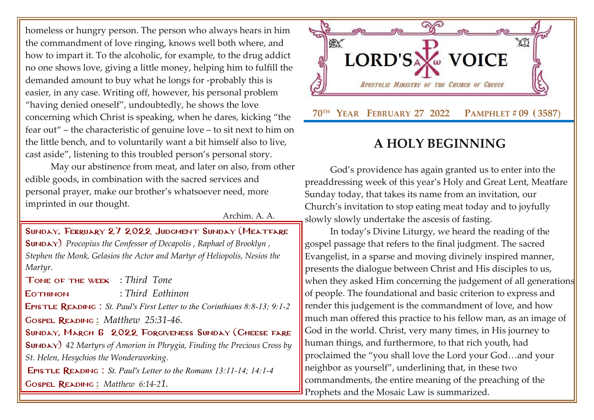homeless or hungry person. The person who always hears in him the commandment of love ringing, knows well both where, and how to impart it. To the alcoholic, for example, to the drug addict no one shows love, giving a little money, helping him to fulfill the demanded amount to buy what he longs for -probably this is easier, in any case. Writing off, however, his personal problem "having denied oneself", undoubtedly, he shows the love concerning which Christ is speaking, when he dares, kicking "the fear out" – the characteristic of genuine love – to sit next to him on the little bench, and to voluntarily want a bit himself also to live, cast aside", listening to this troubled person's personal story.

May our abstinence from meat, and later on also, from other edible goods, in combination with the sacred services and personal prayer, make our brother's whatsoever need, more imprinted in our thought.

Archim. A. A.

SUNDAY, FEBRUARY 27 2022 JUDGMENT SUNDAY (MEATFARE [Sunday\)](http://www.goarch.org/chapel/saints?contentid=1016&PCode=MEATS&D=S&date=02/27/2022) *[Procopius the Confessor of Decapolis](http://www.goarch.org/chapel/saints?contentid=443) , [Raphael of Brooklyn](http://www.goarch.org/chapel/saints?contentid=1885) , Stephen the Monk, Gelasios the Actor and Martyr of Heliopolis, Nesios the Martyr.*

Tone of the week : *Third Tone*

Eothinon : *Third Eothinon*

Epistle Reading : *St. Paul's First Letter to the Corinthians 8:8-13; 9:1-2*

Gospel Reading **[:](http://www.goarch.org/chapel/lectionary?type=G&code=362&event=218)** *[Matthew 25:31-46.](http://www.goarch.org/chapel/lectionary?type=G&code=402&event=408)*

Sunday, March 6 2022 Forgiveness Sunday [\(Cheese fare](http://www.goarch.org/chapel/saints?contentid=1016&PCode=MEATS&D=S&date=02/27/2022) [Sunday\)](http://www.goarch.org/chapel/saints?contentid=1016&PCode=MEATS&D=S&date=02/27/2022) *42 Martyrs of Amorion in Phrygia, Finding the Precious Cross by St. Helen, Hesychios the Wonderworking.*

Epistle Reading : *St. Paul's Letter to the Romans 13:11-14; 14:1-4* Gospel Reading **[:](http://www.goarch.org/chapel/lectionary?type=G&code=362&event=218)** *[Matthew 6:14-2](http://www.goarch.org/chapel/lectionary?type=G&code=402&event=408)[1.](http://www.goarch.org/chapel/lectionary?type=G&code=402&event=408)*



## **A HOLY BEGINNING**

God's providence has again granted us to enter into the preaddressing week of this year's Holy and Great Lent, Meatfare Sunday today, that takes its name from an invitation, our Church's invitation to stop eating meat today and to joyfully slowly slowly undertake the ascesis of fasting.

In today's Divine Liturgy, we heard the reading of the gospel passage that refers to the final judgment. The sacred Evangelist, in a sparse and moving divinely inspired manner, presents the dialogue between Christ and His disciples to us, when they asked Him concerning the judgement of all generations of people. The foundational and basic criterion to express and render this judgement is the commandment of love, and how much man offered this practice to his fellow man, as an image of God in the world. Christ, very many times, in His journey to human things, and furthermore, to that rich youth, had proclaimed the "you shall love the Lord your God…and your neighbor as yourself", underlining that, in these two commandments, the entire meaning of the preaching of the Prophets and the Mosaic Law is summarized.